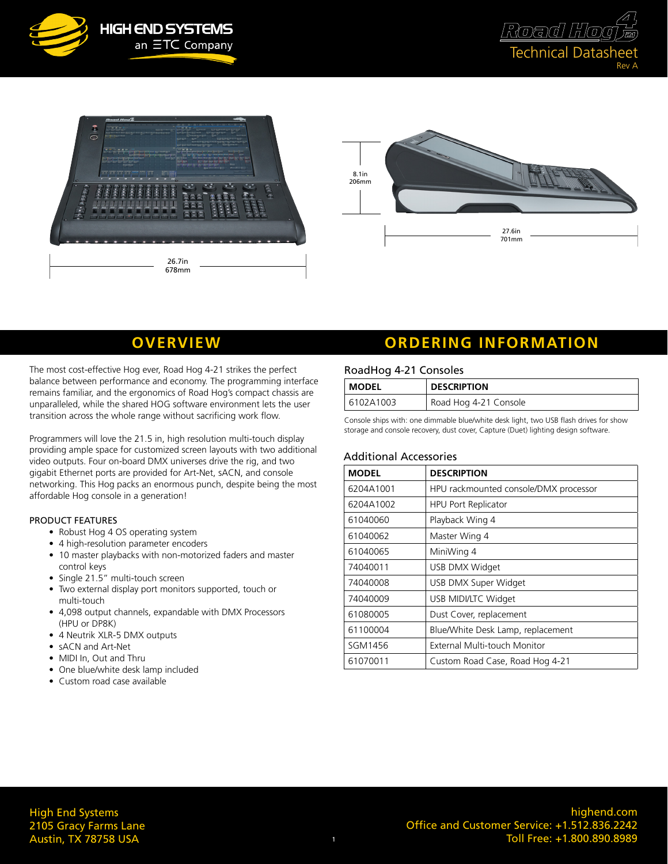







The most cost-effective Hog ever, Road Hog 4-21 strikes the perfect balance between performance and economy. The programming interface remains familiar, and the ergonomics of Road Hog's compact chassis are unparalleled, while the shared HOG software environment lets the user transition across the whole range without sacrificing work flow.

Programmers will love the 21.5 in, high resolution multi-touch display providing ample space for customized screen layouts with two additional video outputs. Four on-board DMX universes drive the rig, and two gigabit Ethernet ports are provided for Art-Net, sACN, and console networking. This Hog packs an enormous punch, despite being the most affordable Hog console in a generation!

#### PRODUCT FEATURES

- Robust Hog 4 OS operating system
- 4 high-resolution parameter encoders
- 10 master playbacks with non-motorized faders and master control keys
- Single 21.5" multi-touch screen
- Two external display port monitors supported, touch or multi-touch
- 4,098 output channels, expandable with DMX Processors (HPU or DP8K)
- 4 Neutrik XLR-5 DMX outputs
- sACN and Art-Net
- MIDI In, Out and Thru
- One blue/white desk lamp included
- Custom road case available

## **OVERVIEW ORDERING INFORMATION**

#### RoadHog 4-21 Consoles

| <b>MODEL</b> | <b>DESCRIPTION</b>    |
|--------------|-----------------------|
| 6102A1003    | Road Hog 4-21 Console |

Console ships with: one dimmable blue/white desk light, two USB flash drives for show storage and console recovery, dust cover, Capture (Duet) lighting design software.

#### Additional Accessories

| <b>MODEL</b> | <b>DESCRIPTION</b>                    |  |  |  |  |  |
|--------------|---------------------------------------|--|--|--|--|--|
| 6204A1001    | HPU rackmounted console/DMX processor |  |  |  |  |  |
| 6204A1002    | <b>HPU Port Replicator</b>            |  |  |  |  |  |
| 61040060     | Playback Wing 4                       |  |  |  |  |  |
| 61040062     | Master Wing 4                         |  |  |  |  |  |
| 61040065     | MiniWing 4                            |  |  |  |  |  |
| 74040011     | USB DMX Widget                        |  |  |  |  |  |
| 74040008     | USB DMX Super Widget                  |  |  |  |  |  |
| 74040009     | USB MIDI/LTC Widget                   |  |  |  |  |  |
| 61080005     | Dust Cover, replacement               |  |  |  |  |  |
| 61100004     | Blue/White Desk Lamp, replacement     |  |  |  |  |  |
| SGM1456      | External Multi-touch Monitor          |  |  |  |  |  |
| 61070011     | Custom Road Case, Road Hog 4-21       |  |  |  |  |  |